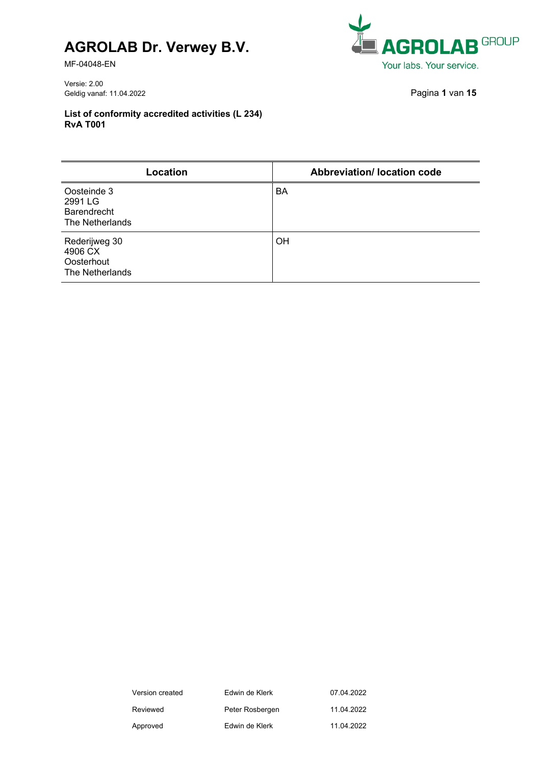MF-04048-EN

Versie: 2.00 Geldig vanaf: 11.04.2022 Pagina **1** van **15**

| <b>EL AGROLAB GROUP</b>  |
|--------------------------|
| Your labs. Your service. |

| Location                                                        | <b>Abbreviation/ location code</b> |
|-----------------------------------------------------------------|------------------------------------|
| Oosteinde 3<br>2991 LG<br><b>Barendrecht</b><br>The Netherlands | BA                                 |
| Rederijweg 30<br>4906 CX<br>Oosterhout<br>The Netherlands       | OH                                 |

| Version created | Edwin de Klerk  | 07.04.2022 |
|-----------------|-----------------|------------|
| Reviewed        | Peter Rosbergen | 11 04 2022 |
| Approved        | Edwin de Klerk  | 11 04 2022 |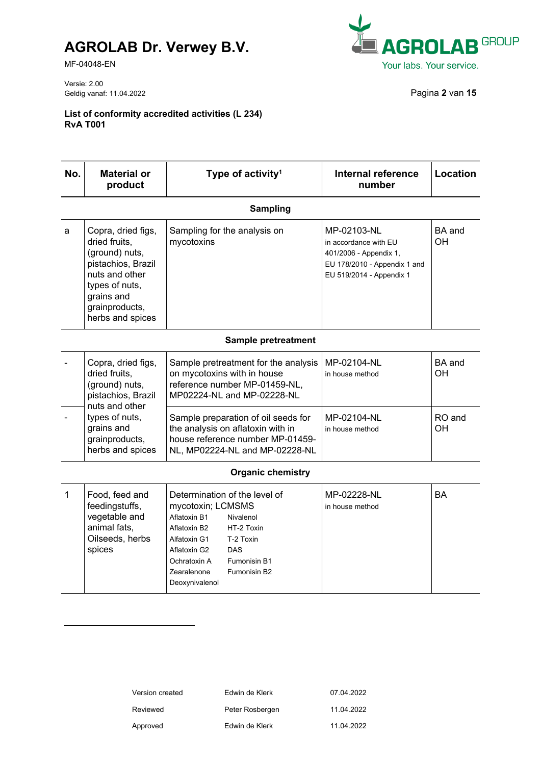MF-04048-EN



Versie: 2.00 Geldig vanaf: 11.04.2022 Pagina **2** van **15**

| No.          | <b>Material or</b><br>product                                                                                                                                       | Type of activity <sup>1</sup>                                                                                                                                                                                                                                         | Internal reference<br>number                                                                                               | Location            |  |
|--------------|---------------------------------------------------------------------------------------------------------------------------------------------------------------------|-----------------------------------------------------------------------------------------------------------------------------------------------------------------------------------------------------------------------------------------------------------------------|----------------------------------------------------------------------------------------------------------------------------|---------------------|--|
|              |                                                                                                                                                                     | <b>Sampling</b>                                                                                                                                                                                                                                                       |                                                                                                                            |                     |  |
| a            | Copra, dried figs,<br>dried fruits,<br>(ground) nuts,<br>pistachios, Brazil<br>nuts and other<br>types of nuts,<br>grains and<br>grainproducts,<br>herbs and spices | Sampling for the analysis on<br>mycotoxins                                                                                                                                                                                                                            | MP-02103-NL<br>in accordance with EU<br>401/2006 - Appendix 1,<br>EU 178/2010 - Appendix 1 and<br>EU 519/2014 - Appendix 1 | BA and<br><b>OH</b> |  |
|              | Sample pretreatment                                                                                                                                                 |                                                                                                                                                                                                                                                                       |                                                                                                                            |                     |  |
|              | Copra, dried figs,<br>dried fruits,<br>(ground) nuts,<br>pistachios, Brazil                                                                                         | Sample pretreatment for the analysis<br>on mycotoxins with in house<br>reference number MP-01459-NL,<br>MP02224-NL and MP-02228-NL                                                                                                                                    | MP-02104-NL<br>in house method                                                                                             | BA and<br>OН        |  |
|              | nuts and other<br>types of nuts,<br>grains and<br>grainproducts,<br>herbs and spices                                                                                | Sample preparation of oil seeds for<br>the analysis on aflatoxin with in<br>house reference number MP-01459-<br>NL, MP02224-NL and MP-02228-NL                                                                                                                        | MP-02104-NL<br>in house method                                                                                             | RO and<br>OH        |  |
|              |                                                                                                                                                                     | <b>Organic chemistry</b>                                                                                                                                                                                                                                              |                                                                                                                            |                     |  |
| $\mathbf{1}$ | Food, feed and<br>feedingstuffs,<br>vegetable and<br>animal fats,<br>Oilseeds, herbs<br>spices                                                                      | Determination of the level of<br>mycotoxin; LCMSMS<br>Aflatoxin B1<br>Nivalenol<br>Aflatoxin B2<br>HT-2 Toxin<br>Alfatoxin G1<br>T-2 Toxin<br><b>DAS</b><br>Aflatoxin G2<br>Ochratoxin A<br>Fumonisin B1<br>Zearalenone<br>Fumonisin B <sub>2</sub><br>Deoxynivalenol | MP-02228-NL<br>in house method                                                                                             | BA                  |  |

| Edwin de Klerk  | 07.04.2022 |
|-----------------|------------|
| Peter Rosbergen | 11.04.2022 |
| Edwin de Klerk  | 11.04.2022 |
|                 |            |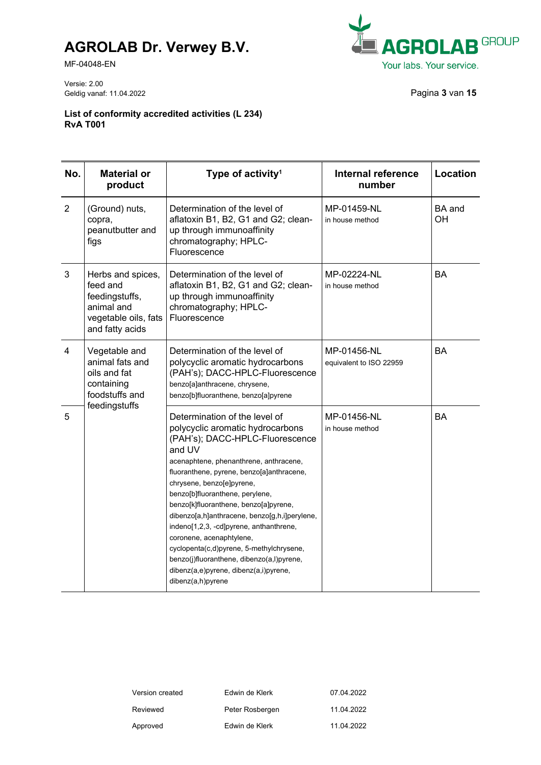MF-04048-EN



Versie: 2.00 Geldig vanaf: 11.04.2022 **Pagina 3** van **15** 

| No.            | <b>Material or</b><br>product                                                                            | Type of activity <sup>1</sup>                                                                                                                                                                                                                                                                                                                                                                                                                                                                                                                                                                 | <b>Internal reference</b><br>number    | Location            |
|----------------|----------------------------------------------------------------------------------------------------------|-----------------------------------------------------------------------------------------------------------------------------------------------------------------------------------------------------------------------------------------------------------------------------------------------------------------------------------------------------------------------------------------------------------------------------------------------------------------------------------------------------------------------------------------------------------------------------------------------|----------------------------------------|---------------------|
| $\overline{2}$ | (Ground) nuts,<br>copra,<br>peanutbutter and<br>figs                                                     | Determination of the level of<br>aflatoxin B1, B2, G1 and G2; clean-<br>up through immunoaffinity<br>chromatography; HPLC-<br>Fluorescence                                                                                                                                                                                                                                                                                                                                                                                                                                                    | MP-01459-NL<br>in house method         | <b>BA</b> and<br>OH |
| 3              | Herbs and spices,<br>feed and<br>feedingstuffs,<br>animal and<br>vegetable oils, fats<br>and fatty acids | Determination of the level of<br>aflatoxin B1, B2, G1 and G2; clean-<br>up through immunoaffinity<br>chromatography; HPLC-<br>Fluorescence                                                                                                                                                                                                                                                                                                                                                                                                                                                    | MP-02224-NL<br>in house method         | <b>BA</b>           |
| $\overline{4}$ | Vegetable and<br>animal fats and<br>oils and fat<br>containing<br>foodstuffs and<br>feedingstuffs        | Determination of the level of<br>polycyclic aromatic hydrocarbons<br>(PAH's); DACC-HPLC-Fluorescence<br>benzo[a]anthracene, chrysene,<br>benzo[b]fluoranthene, benzo[a]pyrene                                                                                                                                                                                                                                                                                                                                                                                                                 | MP-01456-NL<br>equivalent to ISO 22959 | <b>BA</b>           |
| 5              |                                                                                                          | Determination of the level of<br>polycyclic aromatic hydrocarbons<br>(PAH's); DACC-HPLC-Fluorescence<br>and UV<br>acenaphtene, phenanthrene, anthracene,<br>fluoranthene, pyrene, benzo[a]anthracene,<br>chrysene, benzo[e]pyrene,<br>benzo[b]fluoranthene, perylene,<br>benzo[k]fluoranthene, benzo[a]pyrene,<br>dibenzo[a,h]anthracene, benzo[g,h,i]perylene,<br>indeno[1,2,3, -cd]pyrene, anthanthrene,<br>coronene, acenaphtylene,<br>cyclopenta(c,d)pyrene, 5-methylchrysene,<br>benzo(j)fluoranthene, dibenzo(a,l)pyrene,<br>dibenz(a,e)pyrene, dibenz(a,i)pyrene,<br>dibenz(a,h)pyrene | MP-01456-NL<br>in house method         | <b>BA</b>           |

| Version created | Edwin de Klerk  | 07.04.2022 |
|-----------------|-----------------|------------|
| Reviewed        | Peter Rosbergen | 11.04.2022 |
| Approved        | Edwin de Klerk  | 11.04.2022 |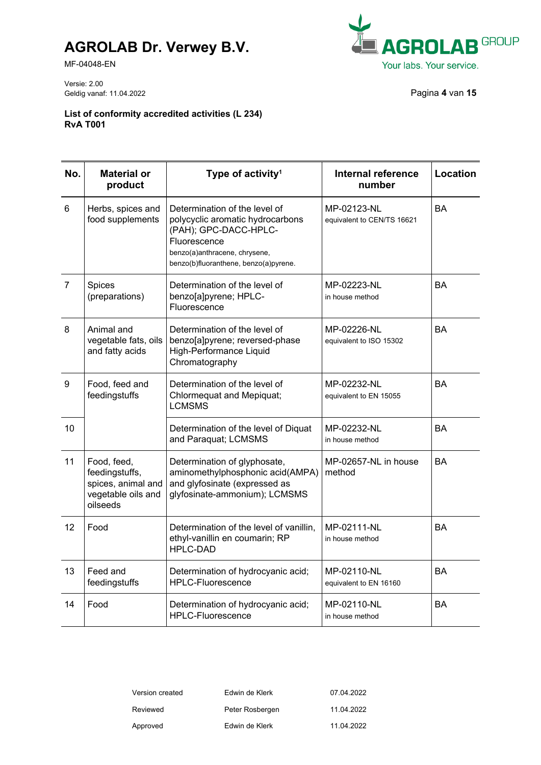MF-04048-EN



Versie: 2.00 Geldig vanaf: 11.04.2022 Pagina **4** van **15**

| No.            | <b>Material or</b><br>product                                                         | Type of activity <sup>1</sup>                                                                                                                                                        | <b>Internal reference</b><br>number       | Location  |
|----------------|---------------------------------------------------------------------------------------|--------------------------------------------------------------------------------------------------------------------------------------------------------------------------------------|-------------------------------------------|-----------|
| 6              | Herbs, spices and<br>food supplements                                                 | Determination of the level of<br>polycyclic aromatic hydrocarbons<br>(PAH); GPC-DACC-HPLC-<br>Fluorescence<br>benzo(a)anthracene, chrysene,<br>benzo(b)fluoranthene, benzo(a)pyrene. | MP-02123-NL<br>equivalent to CEN/TS 16621 | <b>BA</b> |
| $\overline{7}$ | Spices<br>(preparations)                                                              | Determination of the level of<br>benzo[a]pyrene; HPLC-<br>Fluorescence                                                                                                               | MP-02223-NL<br>in house method            | <b>BA</b> |
| 8              | Animal and<br>vegetable fats, oils<br>and fatty acids                                 | Determination of the level of<br>benzo[a]pyrene; reversed-phase<br>High-Performance Liquid<br>Chromatography                                                                         | MP-02226-NL<br>equivalent to ISO 15302    | <b>BA</b> |
| 9              | Food, feed and<br>feedingstuffs                                                       | Determination of the level of<br><b>Chlormequat and Mepiquat;</b><br><b>LCMSMS</b>                                                                                                   | MP-02232-NL<br>equivalent to EN 15055     | <b>BA</b> |
| 10             |                                                                                       | Determination of the level of Diquat<br>and Paraquat; LCMSMS                                                                                                                         | MP-02232-NL<br>in house method            | BA        |
| 11             | Food, feed,<br>feedingstuffs,<br>spices, animal and<br>vegetable oils and<br>oilseeds | Determination of glyphosate,<br>aminomethylphosphonic acid(AMPA)<br>and glyfosinate (expressed as<br>glyfosinate-ammonium); LCMSMS                                                   | MP-02657-NL in house<br>method            | BA        |
| 12             | Food                                                                                  | Determination of the level of vanillin,<br>ethyl-vanillin en coumarin; RP<br><b>HPLC-DAD</b>                                                                                         | MP-02111-NL<br>in house method            | BA        |
| 13             | Feed and<br>feedingstuffs                                                             | Determination of hydrocyanic acid;<br><b>HPLC-Fluorescence</b>                                                                                                                       | MP-02110-NL<br>equivalent to EN 16160     | <b>BA</b> |
| 14             | Food                                                                                  | Determination of hydrocyanic acid;<br>HPLC-Fluorescence                                                                                                                              | MP-02110-NL<br>in house method            | <b>BA</b> |

| Version created | Edwin de Klerk  | 07.04.2022 |
|-----------------|-----------------|------------|
| Reviewed        | Peter Rosbergen | 11.04.2022 |
| Approved        | Edwin de Klerk  | 11.04.2022 |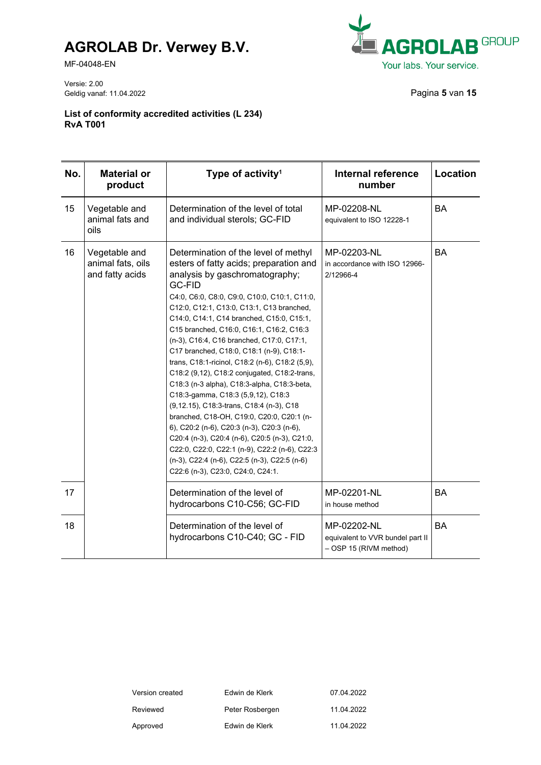MF-04048-EN

Versie: 2.00 Geldig vanaf: 11.04.2022 **Pagina 5** van **15** 



| No. | <b>Material or</b><br>product                         | Type of activity <sup>1</sup>                                                                                                                                                                                                                                                                                                                                                                                                                                                                                                                                                                                                                                                                                                                                                                                                                                                                                                          | <b>Internal reference</b><br>number                                       | Location  |
|-----|-------------------------------------------------------|----------------------------------------------------------------------------------------------------------------------------------------------------------------------------------------------------------------------------------------------------------------------------------------------------------------------------------------------------------------------------------------------------------------------------------------------------------------------------------------------------------------------------------------------------------------------------------------------------------------------------------------------------------------------------------------------------------------------------------------------------------------------------------------------------------------------------------------------------------------------------------------------------------------------------------------|---------------------------------------------------------------------------|-----------|
| 15  | Vegetable and<br>animal fats and<br>oils              | Determination of the level of total<br>and individual sterols; GC-FID                                                                                                                                                                                                                                                                                                                                                                                                                                                                                                                                                                                                                                                                                                                                                                                                                                                                  | MP-02208-NL<br>equivalent to ISO 12228-1                                  | <b>BA</b> |
| 16  | Vegetable and<br>animal fats, oils<br>and fatty acids | Determination of the level of methyl<br>esters of fatty acids; preparation and<br>analysis by gaschromatography;<br><b>GC-FID</b><br>C4:0, C6:0, C8:0, C9:0, C10:0, C10:1, C11:0,<br>C12:0, C12:1, C13:0, C13:1, C13 branched,<br>C14:0, C14:1, C14 branched, C15:0, C15:1,<br>C15 branched, C16:0, C16:1, C16:2, C16:3<br>(n-3), C16:4, C16 branched, C17:0, C17:1,<br>C17 branched, C18:0, C18:1 (n-9), C18:1-<br>trans, C18:1-ricinol, C18:2 (n-6), C18:2 (5,9),<br>C18:2 (9,12), C18:2 conjugated, C18:2-trans,<br>C18:3 (n-3 alpha), C18:3-alpha, C18:3-beta,<br>C18:3-gamma, C18:3 (5,9,12), C18:3<br>(9,12.15), C18:3-trans, C18:4 (n-3), C18<br>branched, C18-OH, C19:0, C20:0, C20:1 (n-<br>6), C20:2 (n-6), C20:3 (n-3), C20:3 (n-6),<br>C20:4 (n-3), C20:4 (n-6), C20:5 (n-3), C21:0,<br>C22:0, C22:0, C22:1 (n-9), C22:2 (n-6), C22:3<br>(n-3), C22:4 (n-6), C22:5 (n-3), C22:5 (n-6)<br>C22:6 (n-3), C23:0, C24:0, C24:1. | MP-02203-NL<br>in accordance with ISO 12966-<br>2/12966-4                 | <b>BA</b> |
| 17  |                                                       | Determination of the level of<br>hydrocarbons C10-C56; GC-FID                                                                                                                                                                                                                                                                                                                                                                                                                                                                                                                                                                                                                                                                                                                                                                                                                                                                          | MP-02201-NL<br>in house method                                            | <b>BA</b> |
| 18  |                                                       | Determination of the level of<br>hydrocarbons C10-C40; GC - FID                                                                                                                                                                                                                                                                                                                                                                                                                                                                                                                                                                                                                                                                                                                                                                                                                                                                        | MP-02202-NL<br>equivalent to VVR bundel part II<br>- OSP 15 (RIVM method) | <b>BA</b> |

| Version created | Edwin de Klerk  | 07.04.2022 |
|-----------------|-----------------|------------|
| Reviewed        | Peter Rosbergen | 11.04.2022 |
| Approved        | Edwin de Klerk  | 11.04.2022 |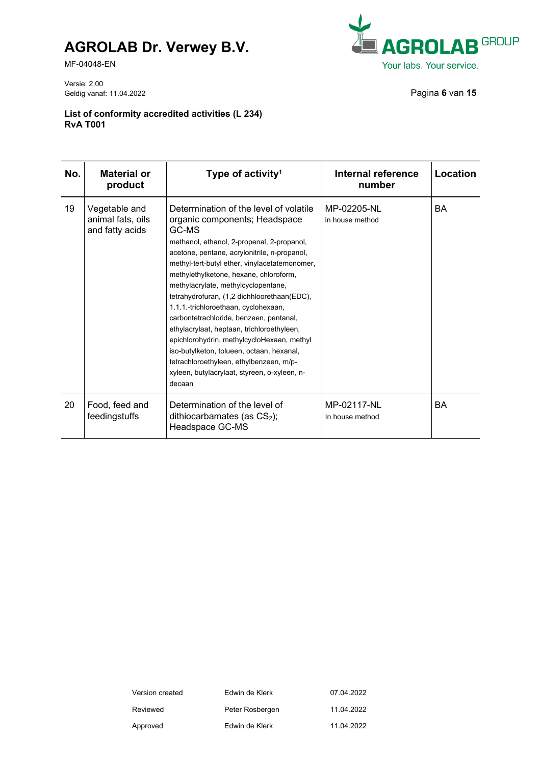MF-04048-EN



Versie: 2.00 Geldig vanaf: 11.04.2022 Pagina **6** van **15**

| No. | <b>Material or</b><br>product                         | Type of activity <sup>1</sup>                                                                                                                                                                                                                                                                                                                                                                                                                                                                                                                                                                                                                                                                    | Internal reference<br>number   | Location |
|-----|-------------------------------------------------------|--------------------------------------------------------------------------------------------------------------------------------------------------------------------------------------------------------------------------------------------------------------------------------------------------------------------------------------------------------------------------------------------------------------------------------------------------------------------------------------------------------------------------------------------------------------------------------------------------------------------------------------------------------------------------------------------------|--------------------------------|----------|
| 19  | Vegetable and<br>animal fats, oils<br>and fatty acids | Determination of the level of volatile<br>organic components; Headspace<br>GC-MS<br>methanol, ethanol, 2-propenal, 2-propanol,<br>acetone, pentane, acrylonitrile, n-propanol,<br>methyl-tert-butyl ether, vinylacetatemonomer,<br>methylethylketone, hexane, chloroform,<br>methylacrylate, methylcyclopentane,<br>tetrahydrofuran, (1,2 dichhloorethaan(EDC),<br>1.1.1.-trichloroethaan, cyclohexaan,<br>carbontetrachloride, benzeen, pentanal,<br>ethylacrylaat, heptaan, trichloroethyleen,<br>epichlorohydrin, methylcycloHexaan, methyl<br>iso-butylketon, tolueen, octaan, hexanal,<br>tetrachloroethyleen, ethylbenzeen, m/p-<br>xyleen, butylacrylaat, styreen, o-xyleen, n-<br>decaan | MP-02205-NL<br>in house method | BA       |
| 20  | Food, feed and<br>feedingstuffs                       | Determination of the level of<br>dithiocarbamates (as $CS2$ );<br>Headspace GC-MS                                                                                                                                                                                                                                                                                                                                                                                                                                                                                                                                                                                                                | MP-02117-NL<br>In house method | BA       |

| Version created | Edwin de Klerk  | 07.04.2022 |
|-----------------|-----------------|------------|
| Reviewed        | Peter Rosbergen | 11 04 2022 |
| Approved        | Edwin de Klerk  | 11 04 2022 |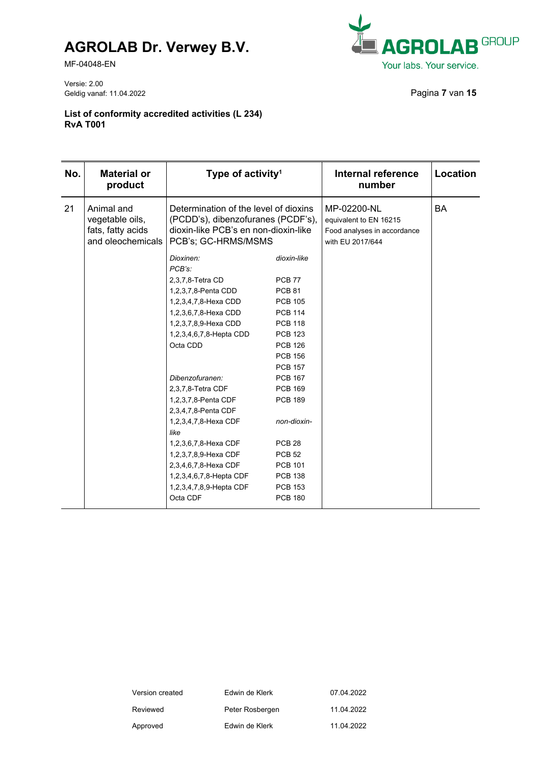MF-04048-EN

Versie: 2.00 Geldig vanaf: 11.04.2022 Pagina **7** van **15**



| No. | <b>Material or</b><br>product                                           | Type of activity <sup>1</sup>                                                                                                              |                   | <b>Internal reference</b><br>number                                                      | Location  |
|-----|-------------------------------------------------------------------------|--------------------------------------------------------------------------------------------------------------------------------------------|-------------------|------------------------------------------------------------------------------------------|-----------|
| 21  | Animal and<br>vegetable oils,<br>fats, fatty acids<br>and oleochemicals | Determination of the level of dioxins<br>(PCDD's), dibenzofuranes (PCDF's),<br>dioxin-like PCB's en non-dioxin-like<br>PCB's; GC-HRMS/MSMS |                   | MP-02200-NL<br>equivalent to EN 16215<br>Food analyses in accordance<br>with EU 2017/644 | <b>BA</b> |
|     |                                                                         | Dioxinen:<br>PCB's:                                                                                                                        | dioxin-like       |                                                                                          |           |
|     |                                                                         | 2,3,7,8-Tetra CD                                                                                                                           | <b>PCB 77</b>     |                                                                                          |           |
|     |                                                                         | 1,2,3,7,8-Penta CDD                                                                                                                        | <b>PCB 81</b>     |                                                                                          |           |
|     |                                                                         | 1,2,3,4,7,8-Hexa CDD                                                                                                                       | <b>PCB 105</b>    |                                                                                          |           |
|     |                                                                         | 1,2,3,6,7,8-Hexa CDD                                                                                                                       | <b>PCB 114</b>    |                                                                                          |           |
|     |                                                                         | 1,2,3,7,8,9-Hexa CDD                                                                                                                       | <b>PCB 118</b>    |                                                                                          |           |
|     |                                                                         | 1,2,3,4,6,7,8-Hepta CDD                                                                                                                    | <b>PCB 123</b>    |                                                                                          |           |
|     |                                                                         | Octa CDD                                                                                                                                   | <b>PCB 126</b>    |                                                                                          |           |
|     |                                                                         |                                                                                                                                            | <b>PCB 156</b>    |                                                                                          |           |
|     |                                                                         |                                                                                                                                            | <b>PCB 157</b>    |                                                                                          |           |
|     |                                                                         | Dibenzofuranen:                                                                                                                            | <b>PCB 167</b>    |                                                                                          |           |
|     |                                                                         | 2,3,7,8-Tetra CDF                                                                                                                          | <b>PCB 169</b>    |                                                                                          |           |
|     |                                                                         | 1,2,3,7,8-Penta CDF                                                                                                                        | <b>PCB 189</b>    |                                                                                          |           |
|     |                                                                         | 2,3,4,7,8-Penta CDF                                                                                                                        |                   |                                                                                          |           |
|     |                                                                         | 1,2,3,4,7,8-Hexa CDF                                                                                                                       | non-dioxin-       |                                                                                          |           |
|     |                                                                         | like                                                                                                                                       |                   |                                                                                          |           |
|     |                                                                         | 1,2,3,6,7,8-Hexa CDF                                                                                                                       | PCB <sub>28</sub> |                                                                                          |           |
|     |                                                                         | 1,2,3,7,8,9-Hexa CDF                                                                                                                       | <b>PCB 52</b>     |                                                                                          |           |
|     |                                                                         | 2,3,4,6,7,8-Hexa CDF                                                                                                                       | <b>PCB 101</b>    |                                                                                          |           |
|     |                                                                         | 1,2,3,4,6,7,8-Hepta CDF                                                                                                                    | <b>PCB 138</b>    |                                                                                          |           |
|     |                                                                         | 1,2,3,4,7,8,9-Hepta CDF                                                                                                                    | <b>PCB 153</b>    |                                                                                          |           |
|     |                                                                         | Octa CDF                                                                                                                                   | <b>PCB 180</b>    |                                                                                          |           |

| Version created | Edwin de Klerk  | 07.04.2022 |
|-----------------|-----------------|------------|
| Reviewed        | Peter Rosbergen | 11.04.2022 |
| Approved        | Edwin de Klerk  | 11.04.2022 |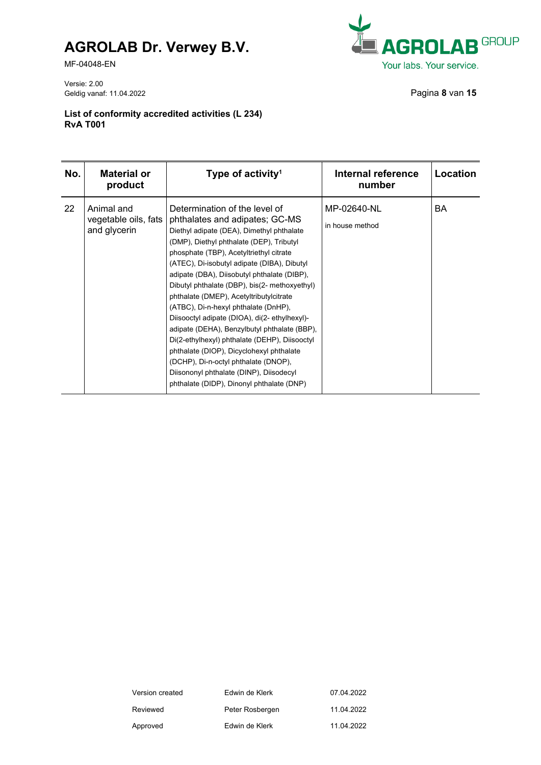MF-04048-EN

Versie: 2.00 Geldig vanaf: 11.04.2022 Pagina **8** van **15**



| No. | <b>Material or</b><br>product                      | Type of activity <sup>1</sup>                                                                                                                                                                                                                                                                                                                                                                                                                                                                                                                                                                                                                                                                                                                                      | Internal reference<br>number   | Location |
|-----|----------------------------------------------------|--------------------------------------------------------------------------------------------------------------------------------------------------------------------------------------------------------------------------------------------------------------------------------------------------------------------------------------------------------------------------------------------------------------------------------------------------------------------------------------------------------------------------------------------------------------------------------------------------------------------------------------------------------------------------------------------------------------------------------------------------------------------|--------------------------------|----------|
| 22  | Animal and<br>vegetable oils, fats<br>and glycerin | Determination of the level of<br>phthalates and adipates; GC-MS<br>Diethyl adipate (DEA), Dimethyl phthalate<br>(DMP), Diethyl phthalate (DEP), Tributyl<br>phosphate (TBP), Acetyltriethyl citrate<br>(ATEC), Di-isobutyl adipate (DIBA), Dibutyl<br>adipate (DBA), Diisobutyl phthalate (DIBP),<br>Dibutyl phthalate (DBP), bis(2- methoxyethyl)<br>phthalate (DMEP), Acetyltributylcitrate<br>(ATBC), Di-n-hexyl phthalate (DnHP),<br>Diisooctyl adipate (DIOA), di(2-ethylhexyl)-<br>adipate (DEHA), Benzylbutyl phthalate (BBP),<br>Di(2-ethylhexyl) phthalate (DEHP), Diisooctyl<br>phthalate (DIOP), Dicyclohexyl phthalate<br>(DCHP), Di-n-octyl phthalate (DNOP),<br>Diisononyl phthalate (DINP), Diisodecyl<br>phthalate (DIDP), Dinonyl phthalate (DNP) | MP-02640-NL<br>in house method | BA       |

| Version created | Edwin de Klerk  | 07.04.2022 |
|-----------------|-----------------|------------|
| Reviewed        | Peter Rosbergen | 11 04 2022 |
| Approved        | Edwin de Klerk  | 11 04 2022 |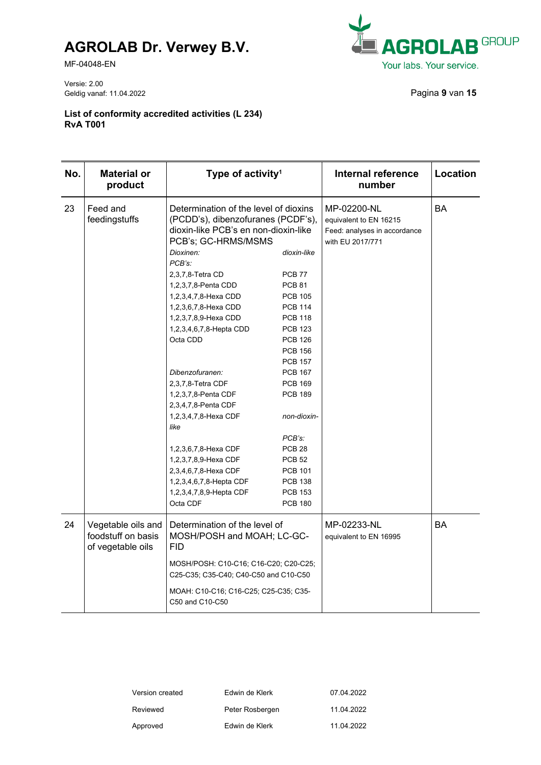MF-04048-EN

Versie: 2.00 Geldig vanaf: 11.04.2022 Pagina **9** van **15**



| No. | <b>Material or</b><br>product                                 | Type of activity <sup>1</sup>                                                                                                              |                | <b>Internal reference</b><br>number                                                       | Location  |
|-----|---------------------------------------------------------------|--------------------------------------------------------------------------------------------------------------------------------------------|----------------|-------------------------------------------------------------------------------------------|-----------|
| 23  | Feed and<br>feedingstuffs                                     | Determination of the level of dioxins<br>(PCDD's), dibenzofuranes (PCDF's),<br>dioxin-like PCB's en non-dioxin-like<br>PCB's; GC-HRMS/MSMS |                | MP-02200-NL<br>equivalent to EN 16215<br>Feed: analyses in accordance<br>with EU 2017/771 | <b>BA</b> |
|     |                                                               | Dioxinen:                                                                                                                                  | dioxin-like    |                                                                                           |           |
|     |                                                               | PCB's:                                                                                                                                     |                |                                                                                           |           |
|     |                                                               | 2,3,7,8-Tetra CD                                                                                                                           | <b>PCB 77</b>  |                                                                                           |           |
|     |                                                               | 1,2,3,7,8-Penta CDD                                                                                                                        | <b>PCB 81</b>  |                                                                                           |           |
|     |                                                               | 1,2,3,4,7,8-Hexa CDD                                                                                                                       | <b>PCB 105</b> |                                                                                           |           |
|     |                                                               | 1,2,3,6,7,8-Hexa CDD                                                                                                                       | <b>PCB 114</b> |                                                                                           |           |
|     |                                                               | 1,2,3,7,8,9-Hexa CDD                                                                                                                       | <b>PCB 118</b> |                                                                                           |           |
|     |                                                               | 1,2,3,4,6,7,8-Hepta CDD                                                                                                                    | <b>PCB 123</b> |                                                                                           |           |
|     |                                                               | Octa CDD                                                                                                                                   | <b>PCB 126</b> |                                                                                           |           |
|     |                                                               |                                                                                                                                            | <b>PCB 156</b> |                                                                                           |           |
|     |                                                               |                                                                                                                                            | <b>PCB 157</b> |                                                                                           |           |
|     |                                                               | Dibenzofuranen:                                                                                                                            | <b>PCB 167</b> |                                                                                           |           |
|     |                                                               | 2,3,7,8-Tetra CDF                                                                                                                          | <b>PCB 169</b> |                                                                                           |           |
|     |                                                               | 1,2,3,7,8-Penta CDF                                                                                                                        | <b>PCB 189</b> |                                                                                           |           |
|     |                                                               | 2,3,4,7,8-Penta CDF                                                                                                                        |                |                                                                                           |           |
|     |                                                               | 1,2,3,4,7,8-Hexa CDF                                                                                                                       | non-dioxin-    |                                                                                           |           |
|     |                                                               | like                                                                                                                                       |                |                                                                                           |           |
|     |                                                               |                                                                                                                                            | PCB's:         |                                                                                           |           |
|     |                                                               | 1,2,3,6,7,8-Hexa CDF                                                                                                                       | <b>PCB 28</b>  |                                                                                           |           |
|     |                                                               | 1,2,3,7,8,9-Hexa CDF                                                                                                                       | <b>PCB 52</b>  |                                                                                           |           |
|     |                                                               | 2,3,4,6,7,8-Hexa CDF                                                                                                                       | <b>PCB 101</b> |                                                                                           |           |
|     |                                                               | 1,2,3,4,6,7,8-Hepta CDF                                                                                                                    | <b>PCB 138</b> |                                                                                           |           |
|     |                                                               | 1,2,3,4,7,8,9-Hepta CDF                                                                                                                    | <b>PCB 153</b> |                                                                                           |           |
|     |                                                               | Octa CDF                                                                                                                                   | <b>PCB 180</b> |                                                                                           |           |
| 24  | Vegetable oils and<br>foodstuff on basis<br>of vegetable oils | Determination of the level of<br>MOSH/POSH and MOAH; LC-GC-<br><b>FID</b>                                                                  |                | MP-02233-NL<br>equivalent to EN 16995                                                     | <b>BA</b> |
|     |                                                               | MOSH/POSH: C10-C16; C16-C20; C20-C25;<br>C25-C35; C35-C40; C40-C50 and C10-C50                                                             |                |                                                                                           |           |
|     |                                                               | MOAH: C10-C16; C16-C25; C25-C35; C35-<br>C50 and C10-C50                                                                                   |                |                                                                                           |           |

| Version created | Edwin de Klerk  | 07.04.2022 |
|-----------------|-----------------|------------|
| Reviewed        | Peter Rosbergen | 11.04.2022 |
| Approved        | Edwin de Klerk  | 11.04.2022 |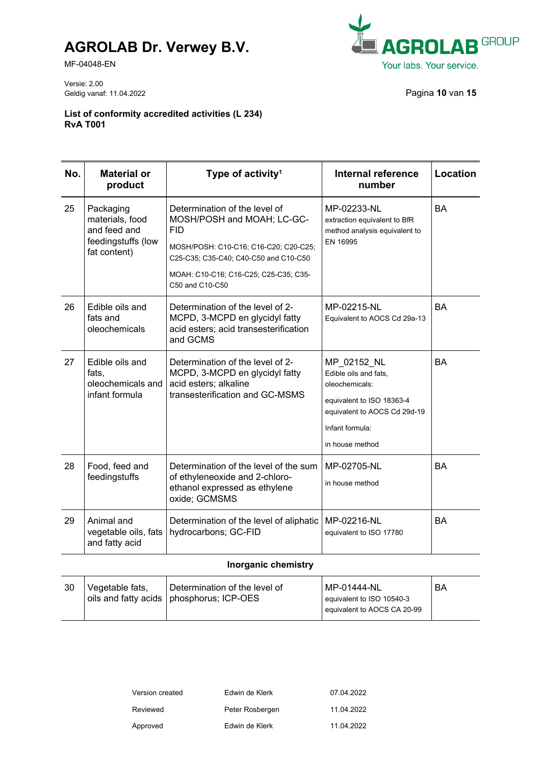MF-04048-EN



Versie: 2.00 Geldig vanaf: 11.04.2022 Pagina **10** van **15**

**List of conformity accredited activities (L 234) RvA T001**

| No. | <b>Material or</b><br>product                                                      | Type of activity <sup>1</sup>                                                                                                                                                                                           | <b>Internal reference</b><br>number                                                                                                                       | Location  |
|-----|------------------------------------------------------------------------------------|-------------------------------------------------------------------------------------------------------------------------------------------------------------------------------------------------------------------------|-----------------------------------------------------------------------------------------------------------------------------------------------------------|-----------|
| 25  | Packaging<br>materials, food<br>and feed and<br>feedingstuffs (low<br>fat content) | Determination of the level of<br>MOSH/POSH and MOAH; LC-GC-<br><b>FID</b><br>MOSH/POSH: C10-C16; C16-C20; C20-C25;<br>C25-C35; C35-C40; C40-C50 and C10-C50<br>MOAH: C10-C16; C16-C25; C25-C35; C35-<br>C50 and C10-C50 | MP-02233-NL<br>extraction equivalent to BfR<br>method analysis equivalent to<br>EN 16995                                                                  | <b>BA</b> |
| 26  | Edible oils and<br>fats and<br>oleochemicals                                       | Determination of the level of 2-<br>MCPD, 3-MCPD en glycidyl fatty<br>acid esters; acid transesterification<br>and GCMS                                                                                                 | MP-02215-NL<br>Equivalent to AOCS Cd 29a-13                                                                                                               | <b>BA</b> |
| 27  | Edible oils and<br>fats,<br>oleochemicals and<br>infant formula                    | Determination of the level of 2-<br>MCPD, 3-MCPD en glycidyl fatty<br>acid esters; alkaline<br>transesterification and GC-MSMS                                                                                          | MP 02152 NL<br>Edible oils and fats.<br>oleochemicals:<br>equivalent to ISO 18363-4<br>equivalent to AOCS Cd 29d-19<br>Infant formula:<br>in house method | <b>BA</b> |
| 28  | Food, feed and<br>feedingstuffs                                                    | Determination of the level of the sum<br>of ethyleneoxide and 2-chloro-<br>ethanol expressed as ethylene<br>oxide; GCMSMS                                                                                               | MP-02705-NL<br>in house method                                                                                                                            | <b>BA</b> |
| 29  | Animal and<br>vegetable oils, fats<br>and fatty acid                               | Determination of the level of aliphatic<br>hydrocarbons; GC-FID                                                                                                                                                         | MP-02216-NL<br>equivalent to ISO 17780                                                                                                                    | <b>BA</b> |

#### **Inorganic chemistry**

| 30 | Vegetable fats, | Determination of the level of<br>oils and fatty acids   phosphorus; ICP-OES | l MP-01444-NL<br>equivalent to ISO 10540-3 | BA |
|----|-----------------|-----------------------------------------------------------------------------|--------------------------------------------|----|
|    |                 |                                                                             | equivalent to AOCS CA 20-99                |    |

| Version created | Edwin de Klerk  | 07.04.2022 |
|-----------------|-----------------|------------|
| Reviewed        | Peter Rosbergen | 11.04.2022 |
| Approved        | Edwin de Klerk  | 11.04.2022 |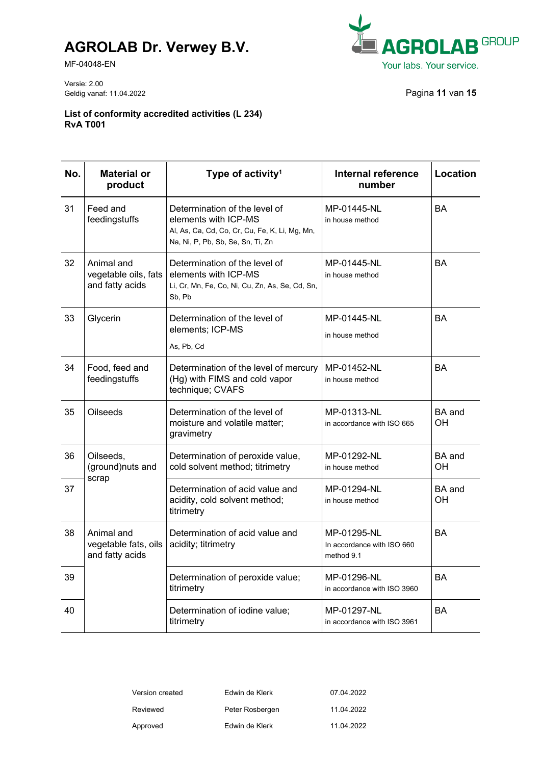MF-04048-EN



Versie: 2.00 Geldig vanaf: 11.04.2022 Pagina **11** van **15**

| No. | <b>Material or</b><br>product                         | Type of activity <sup>1</sup>                                                                                                                | <b>Internal reference</b><br>number                     | Location     |
|-----|-------------------------------------------------------|----------------------------------------------------------------------------------------------------------------------------------------------|---------------------------------------------------------|--------------|
| 31  | Feed and<br>feedingstuffs                             | Determination of the level of<br>elements with ICP-MS<br>Al, As, Ca, Cd, Co, Cr, Cu, Fe, K, Li, Mg, Mn,<br>Na, Ni, P, Pb, Sb, Se, Sn, Ti, Zn | MP-01445-NL<br>in house method                          | <b>BA</b>    |
| 32  | Animal and<br>vegetable oils, fats<br>and fatty acids | Determination of the level of<br>elements with ICP-MS<br>Li, Cr, Mn, Fe, Co, Ni, Cu, Zn, As, Se, Cd, Sn,<br>Sb, Pb                           | MP-01445-NL<br>in house method                          | <b>BA</b>    |
| 33  | Glycerin                                              | Determination of the level of<br>elements; ICP-MS<br>As, Pb, Cd                                                                              | MP-01445-NL<br>in house method                          | BA           |
| 34  | Food, feed and<br>feedingstuffs                       | Determination of the level of mercury<br>(Hg) with FIMS and cold vapor<br>technique; CVAFS                                                   | MP-01452-NL<br>in house method                          | BA           |
| 35  | Oilseeds                                              | Determination of the level of<br>moisture and volatile matter;<br>gravimetry                                                                 | MP-01313-NL<br>in accordance with ISO 665               | BA and<br>OН |
| 36  | Oilseeds,<br>(ground)nuts and<br>scrap                | Determination of peroxide value,<br>cold solvent method; titrimetry                                                                          | MP-01292-NL<br>in house method                          | BA and<br>OН |
| 37  |                                                       | Determination of acid value and<br>acidity, cold solvent method;<br>titrimetry                                                               | MP-01294-NL<br>in house method                          | BA and<br>OН |
| 38  | Animal and<br>vegetable fats, oils<br>and fatty acids | Determination of acid value and<br>acidity; titrimetry                                                                                       | MP-01295-NL<br>In accordance with ISO 660<br>method 9.1 | BA           |
| 39  |                                                       | Determination of peroxide value;<br>titrimetry                                                                                               | MP-01296-NL<br>in accordance with ISO 3960              | BA           |
| 40  |                                                       | Determination of iodine value;<br>titrimetry                                                                                                 | MP-01297-NL<br>in accordance with ISO 3961              | BA           |

| Version created | Edwin de Klerk  | 07.04.2022 |
|-----------------|-----------------|------------|
| Reviewed        | Peter Rosbergen | 11.04.2022 |
| Approved        | Edwin de Klerk  | 11.04.2022 |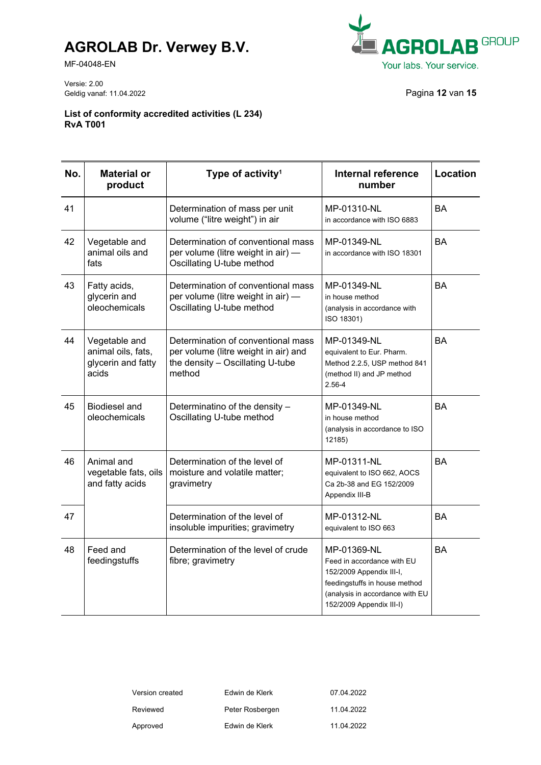MF-04048-EN



Versie: 2.00 Geldig vanaf: 11.04.2022 Pagina **12** van **15**

| No. | <b>Material or</b><br>product                                      | Type of activity <sup>1</sup>                                                                                            | <b>Internal reference</b><br>number                                                                                                                                   | Location  |
|-----|--------------------------------------------------------------------|--------------------------------------------------------------------------------------------------------------------------|-----------------------------------------------------------------------------------------------------------------------------------------------------------------------|-----------|
| 41  |                                                                    | Determination of mass per unit<br>volume ("litre weight") in air                                                         | MP-01310-NL<br>in accordance with ISO 6883                                                                                                                            | <b>BA</b> |
| 42  | Vegetable and<br>animal oils and<br>fats                           | Determination of conventional mass<br>per volume (litre weight in air) -<br>Oscillating U-tube method                    | MP-01349-NL<br>in accordance with ISO 18301                                                                                                                           | <b>BA</b> |
| 43  | Fatty acids,<br>glycerin and<br>oleochemicals                      | Determination of conventional mass<br>per volume (litre weight in air) -<br>Oscillating U-tube method                    | MP-01349-NL<br>in house method<br>(analysis in accordance with<br>ISO 18301)                                                                                          | <b>BA</b> |
| 44  | Vegetable and<br>animal oils, fats,<br>glycerin and fatty<br>acids | Determination of conventional mass<br>per volume (litre weight in air) and<br>the density - Oscillating U-tube<br>method | MP-01349-NL<br>equivalent to Eur. Pharm.<br>Method 2.2.5, USP method 841<br>(method II) and JP method<br>2.56-4                                                       | <b>BA</b> |
| 45  | <b>Biodiesel and</b><br>oleochemicals                              | Determinatino of the density -<br>Oscillating U-tube method                                                              | MP-01349-NL<br>in house method<br>(analysis in accordance to ISO<br>12185)                                                                                            | <b>BA</b> |
| 46  | Animal and<br>vegetable fats, oils<br>and fatty acids              | Determination of the level of<br>moisture and volatile matter;<br>gravimetry                                             | MP-01311-NL<br>equivalent to ISO 662, AOCS<br>Ca 2b-38 and EG 152/2009<br>Appendix III-B                                                                              | <b>BA</b> |
| 47  |                                                                    | Determination of the level of<br>insoluble impurities; gravimetry                                                        | MP-01312-NL<br>equivalent to ISO 663                                                                                                                                  | BA        |
| 48  | Feed and<br>feedingstuffs                                          | Determination of the level of crude<br>fibre; gravimetry                                                                 | MP-01369-NL<br>Feed in accordance with EU<br>152/2009 Appendix III-I,<br>feedingstuffs in house method<br>(analysis in accordance with EU<br>152/2009 Appendix III-I) | BA        |

| Version created | Edwin de Klerk  | 07.04.2022 |
|-----------------|-----------------|------------|
| Reviewed        | Peter Rosbergen | 11.04.2022 |
| Approved        | Edwin de Klerk  | 11.04.2022 |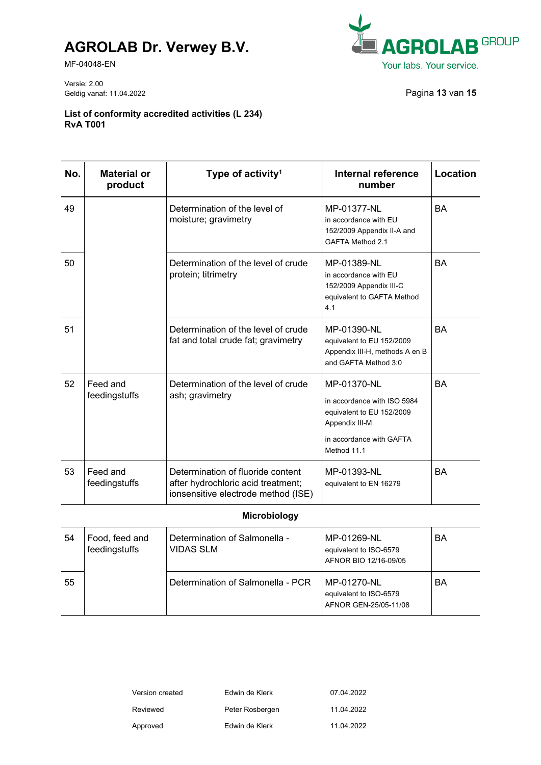MF-04048-EN



Versie: 2.00 Geldig vanaf: 11.04.2022 Pagina **13** van **15**

#### **List of conformity accredited activities (L 234) RvA T001**

| No. | Material or<br>product    | Type of activity <sup>1</sup>                                                                                  | Internal reference<br>number                                                                                                         | Location  |
|-----|---------------------------|----------------------------------------------------------------------------------------------------------------|--------------------------------------------------------------------------------------------------------------------------------------|-----------|
| 49  |                           | Determination of the level of<br>moisture; gravimetry                                                          | MP-01377-NL<br>in accordance with EU<br>152/2009 Appendix II-A and<br>GAFTA Method 2.1                                               | <b>BA</b> |
| 50  |                           | Determination of the level of crude<br>protein; titrimetry                                                     | MP-01389-NL<br>in accordance with EU<br>152/2009 Appendix III-C<br>equivalent to GAFTA Method<br>4.1                                 | <b>BA</b> |
| 51  |                           | Determination of the level of crude<br>fat and total crude fat; gravimetry                                     | MP-01390-NL<br>equivalent to EU 152/2009<br>Appendix III-H, methods A en B<br>and GAFTA Method 3:0                                   | <b>BA</b> |
| 52  | Feed and<br>feedingstuffs | Determination of the level of crude<br>ash; gravimetry                                                         | MP-01370-NL<br>in accordance with ISO 5984<br>equivalent to EU 152/2009<br>Appendix III-M<br>in accordance with GAFTA<br>Method 11.1 | <b>BA</b> |
| 53  | Feed and<br>feedingstuffs | Determination of fluoride content<br>after hydrochloric acid treatment;<br>ionsensitive electrode method (ISE) | MP-01393-NL<br>equivalent to EN 16279                                                                                                | <b>BA</b> |

#### **Microbiology**

| 54 | Food, feed and<br>feedingstuffs | Determination of Salmonella -<br>VIDAS SLM | MP-01269-NL<br>equivalent to ISO-6579<br>AFNOR BIO 12/16-09/05 | BA |
|----|---------------------------------|--------------------------------------------|----------------------------------------------------------------|----|
| 55 |                                 | Determination of Salmonella - PCR          | MP-01270-NL<br>equivalent to ISO-6579<br>AFNOR GEN-25/05-11/08 | BA |

| Version created | Edwin de Klerk  | 07.04.2022 |
|-----------------|-----------------|------------|
| Reviewed        | Peter Rosbergen | 11.04.2022 |
| Approved        | Edwin de Klerk  | 11.04.2022 |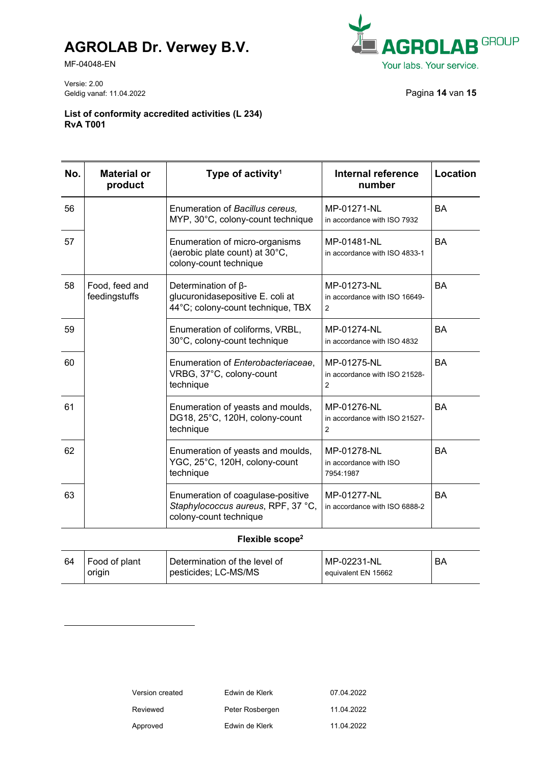MF-04048-EN



Versie: 2.00 Geldig vanaf: 11.04.2022 Pagina **14** van **15**

**List of conformity accredited activities (L 234) RvA T001**

| No. | <b>Material or</b><br>product   | Type of activity <sup>1</sup>                                                                       | Internal reference<br>number                                   | Location  |
|-----|---------------------------------|-----------------------------------------------------------------------------------------------------|----------------------------------------------------------------|-----------|
| 56  |                                 | Enumeration of Bacillus cereus,<br>MYP, 30°C, colony-count technique                                | MP-01271-NL<br>in accordance with ISO 7932                     | <b>BA</b> |
| 57  |                                 | Enumeration of micro-organisms<br>(aerobic plate count) at 30°C,<br>colony-count technique          | MP-01481-NL<br>in accordance with ISO 4833-1                   | <b>BA</b> |
| 58  | Food, feed and<br>feedingstuffs | Determination of $\beta$ -<br>glucuronidasepositive E. coli at<br>44°C; colony-count technique, TBX | MP-01273-NL<br>in accordance with ISO 16649-<br>2              | <b>BA</b> |
| 59  |                                 | Enumeration of coliforms, VRBL,<br>30°C, colony-count technique                                     | MP-01274-NL<br>in accordance with ISO 4832                     | <b>BA</b> |
| 60  |                                 | Enumeration of Enterobacteriaceae,<br>VRBG, 37°C, colony-count<br>technique                         | MP-01275-NL<br>in accordance with ISO 21528-<br>$\overline{2}$ | <b>BA</b> |
| 61  |                                 | Enumeration of yeasts and moulds,<br>DG18, 25°C, 120H, colony-count<br>technique                    | MP-01276-NL<br>in accordance with ISO 21527-<br>$\overline{2}$ | <b>BA</b> |
| 62  |                                 | Enumeration of yeasts and moulds,<br>YGC, 25°C, 120H, colony-count<br>technique                     | MP-01278-NL<br>in accordance with ISO<br>7954:1987             | <b>BA</b> |
| 63  |                                 | Enumeration of coagulase-positive<br>Staphylococcus aureus, RPF, 37 °C,<br>colony-count technique   | MP-01277-NL<br>in accordance with ISO 6888-2                   | <b>BA</b> |

#### **Flexible scope<sup>2</sup>**

| 64 | Food of plant<br>origin | Determination of the level of<br>pesticides; LC-MS/MS | MP-02231-NL<br>equivalent EN 15662 | BA |
|----|-------------------------|-------------------------------------------------------|------------------------------------|----|
|    |                         |                                                       |                                    |    |

| Version created | Edwin de Klerk  | 07.04.2022 |
|-----------------|-----------------|------------|
| Reviewed        | Peter Rosbergen | 11.04.2022 |
| Approved        | Edwin de Klerk  | 11.04.2022 |